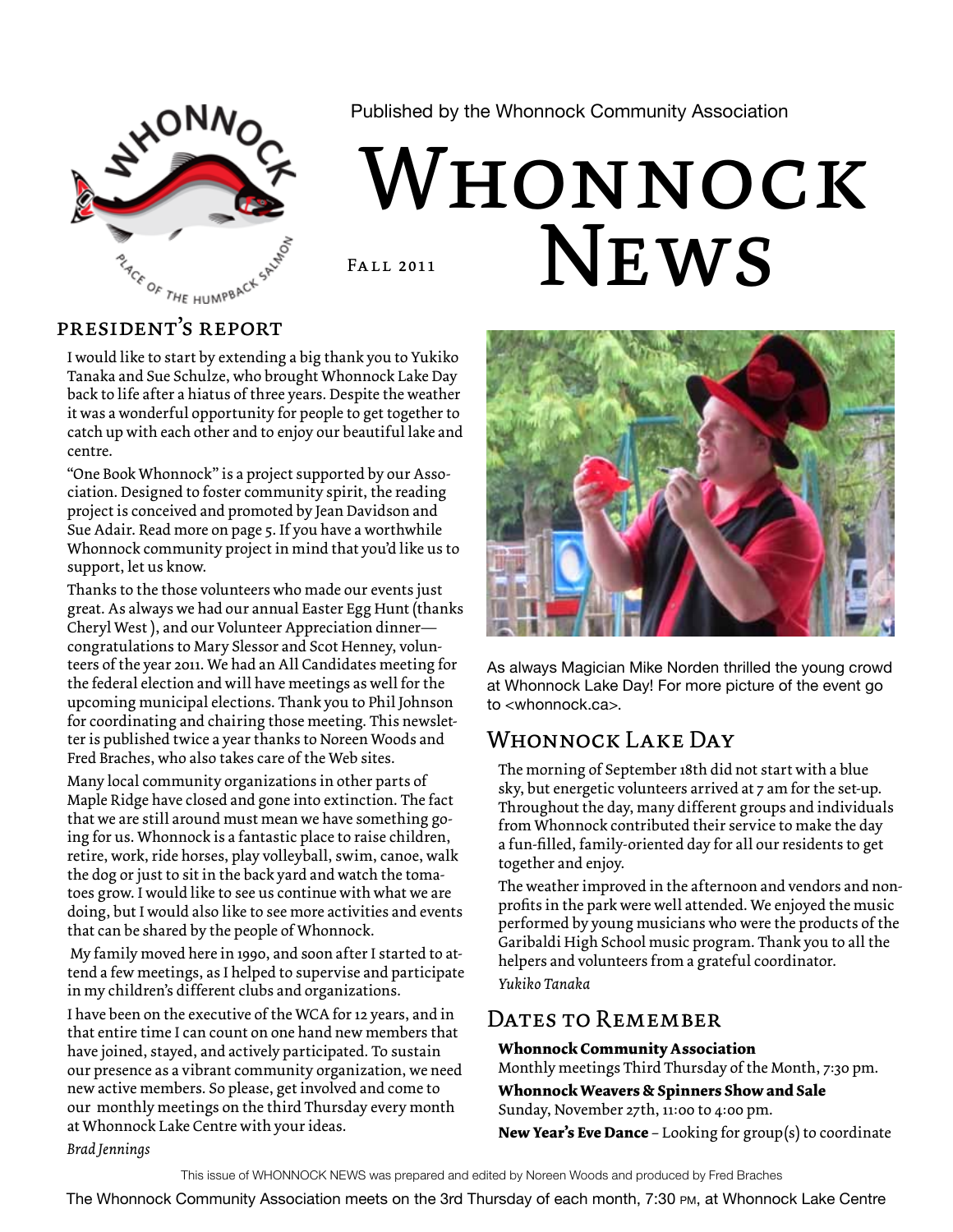

Published by the Whonnock Community Association

# WHONNOCK **NEWS** Fall 2011

I would like to start by extending a big thank you to Yukiko Tanaka and Sue Schulze, who brought Whonnock Lake Day back to life after a hiatus of three years. Despite the weather it was a wonderful opportunity for people to get together to catch up with each other and to enjoy our beautiful lake and centre.

"One Book Whonnock" is a project supported by our Association. Designed to foster community spirit, the reading project is conceived and promoted by Jean Davidson and Sue Adair. Read more on page 5. If you have a worthwhile Whonnock community project in mind that you'd like us to support, let us know.

Thanks to the those volunteers who made our events just great. As always we had our annual Easter Egg Hunt (thanks Cheryl West ), and our Volunteer Appreciation dinner congratulations to Mary Slessor and Scot Henney, volunteers of the year 2011. We had an All Candidates meeting for the federal election and will have meetings as well for the upcoming municipal elections. Thank you to Phil Johnson for coordinating and chairing those meeting. This newsletter is published twice a year thanks to Noreen Woods and Fred Braches, who also takes care of the Web sites.

Many local community organizations in other parts of Maple Ridge have closed and gone into extinction. The fact that we are still around must mean we have something going for us. Whonnock is a fantastic place to raise children, retire, work, ride horses, play volleyball, swim, canoe, walk the dog or just to sit in the back yard and watch the tomatoes grow. I would like to see us continue with what we are doing, but I would also like to see more activities and events that can be shared by the people of Whonnock.

 My family moved here in 1990, and soon after I started to attend a few meetings, as I helped to supervise and participate in my children's different clubs and organizations.

I have been on the executive of the WCA for 12 years, and in that entire time I can count on one hand new members that have joined, stayed, and actively participated. To sustain our presence as a vibrant community organization, we need new active members. So please, get involved and come to our monthly meetings on the third Thursday every month at Whonnock Lake Centre with your ideas.



As always Magician Mike Norden thrilled the young crowd at Whonnock Lake Day! For more picture of the event go to <whonnock.ca>.

### Whonnock Lake Day

The morning of September 18th did not start with a blue sky, but energetic volunteers arrived at 7 am for the set-up. Throughout the day, many different groups and individuals from Whonnock contributed their service to make the day a fun-filled, family-oriented day for all our residents to get together and enjoy.

The weather improved in the afternoon and vendors and nonprofits in the park were well attended. We enjoyed the music performed by young musicians who were the products of the Garibaldi High School music program. Thank you to all the helpers and volunteers from a grateful coordinator.

*Yukiko Tanaka*

#### DATES TO REMEMBER

**Whonnock Community Association** Monthly meetings Third Thursday of the Month, 7:30 pm.

**Whonnock Weavers & Spinners Show and Sale** Sunday, November 27th, 11:00 to 4:00 pm. **New Year's Eve Dance** – Looking for group(s) to coordinate

*Brad Jennings*

The Whonnock Community Association meets on the 3rd Thursday of each month, 7:30 pm, at Whonnock Lake Centre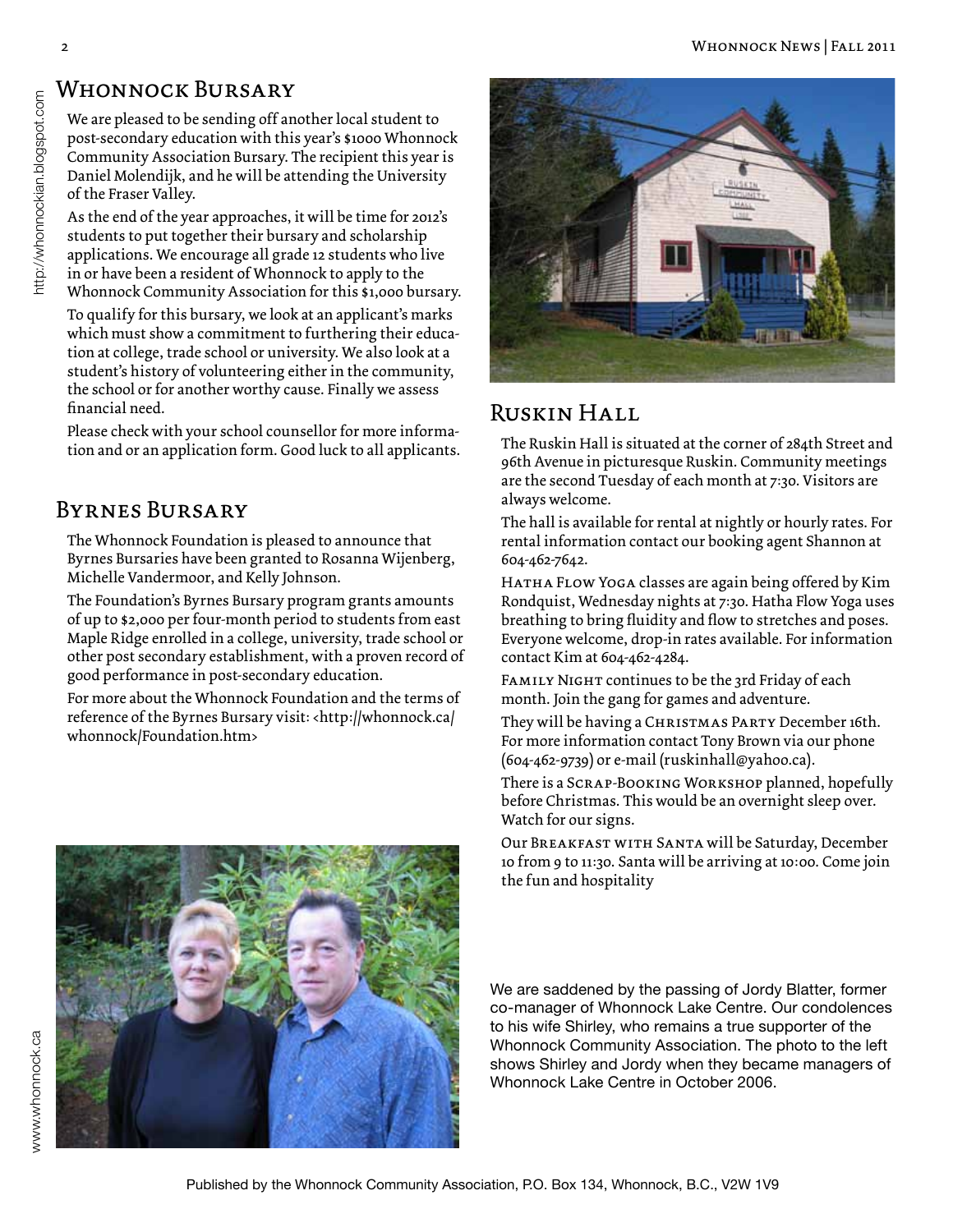#### WHONNOCK BURSARY

We are pleased to be sending off another local student to post-secondary education with this year's \$1000 Whonnock Community Association Bursary. The recipient this year is Daniel Molendijk, and he will be attending the University of the Fraser Valley.

As the end of the year approaches, it will be time for 2012's students to put together their bursary and scholarship applications. We encourage all grade 12 students who live in or have been a resident of Whonnock to apply to the Whonnock Community Association for this \$1,000 bursary.

To qualify for this bursary, we look at an applicant's marks which must show a commitment to furthering their education at college, trade school or university. We also look at a student's history of volunteering either in the community, the school or for another worthy cause. Finally we assess financial need.

Please check with your school counsellor for more information and or an application form. Good luck to all applicants.

#### Byrnes Bursary

The Whonnock Foundation is pleased to announce that Byrnes Bursaries have been granted to Rosanna Wijenberg, Michelle Vandermoor, and Kelly Johnson.

The Foundation's Byrnes Bursary program grants amounts of up to \$2,000 per four-month period to students from east Maple Ridge enrolled in a college, university, trade school or other post secondary establishment, with a proven record of good performance in post-secondary education.

For more about the Whonnock Foundation and the terms of reference of the Byrnes Bursary visit: <http://whonnock.ca/ whonnock/Foundation.htm>



### Ruskin Hall

The Ruskin Hall is situated at the corner of 284th Street and 96th Avenue in picturesque Ruskin. Community meetings are the second Tuesday of each month at 7:30. Visitors are always welcome.

The hall is available for rental at nightly or hourly rates. For rental information contact our booking agent Shannon at 604-462-7642.

HATHA FLOW YOGA classes are again being offered by Kim Rondquist, Wednesday nights at 7:30. Hatha Flow Yoga uses breathing to bring fluidity and flow to stretches and poses. Everyone welcome, drop-in rates available. For information contact Kim at 604-462-4284.

FAMILY NIGHT continues to be the 3rd Friday of each month. Join the gang for games and adventure.

They will be having a Christmas Party December 16th. For more information contact Tony Brown via our phone (604-462-9739) or e-mail (ruskinhall@yahoo.ca).

There is a Scrap-Booking Workshop planned, hopefully before Christmas. This would be an overnight sleep over. Watch for our signs.

Our Breakfast with Santa will be Saturday, December 10 from 9 to 11:30. Santa will be arriving at 10:00. Come join the fun and hospitality

We are saddened by the passing of Jordy Blatter, former co-manager of Whonnock Lake Centre. Our condolences to his wife Shirley, who remains a true supporter of the Whonnock Community Association. The photo to the left shows Shirley and Jordy when they became managers of Whonnock Lake Centre in October 2006.

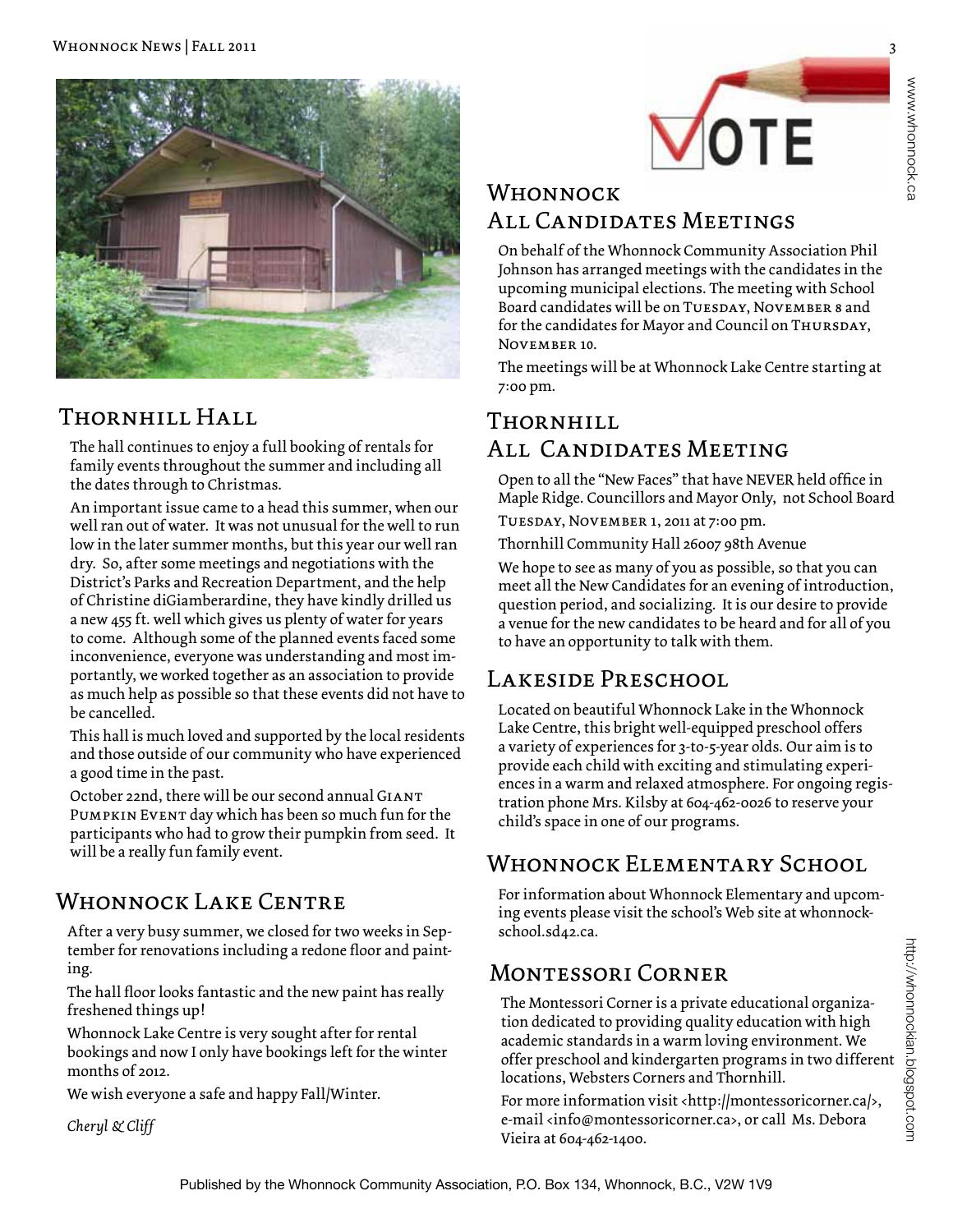

# Thornhill Hall

The hall continues to enjoy a full booking of rentals for family events throughout the summer and including all the dates through to Christmas.

An important issue came to a head this summer, when our well ran out of water. It was not unusual for the well to run low in the later summer months, but this year our well ran dry. So, after some meetings and negotiations with the District's Parks and Recreation Department, and the help of Christine diGiamberardine, they have kindly drilled us a new 455 ft. well which gives us plenty of water for years to come. Although some of the planned events faced some inconvenience, everyone was understanding and most importantly, we worked together as an association to provide as much help as possible so that these events did not have to be cancelled.

This hall is much loved and supported by the local residents and those outside of our community who have experienced a good time in the past.

October 22nd, there will be our second annual GIANT Pumpkin Event day which has been so much fun for the participants who had to grow their pumpkin from seed. It will be a really fun family event.

# Whonnock Lake Centre

After a very busy summer, we closed for two weeks in September for renovations including a redone floor and painting.

The hall floor looks fantastic and the new paint has really freshened things up!

Whonnock Lake Centre is very sought after for rental bookings and now I only have bookings left for the winter months of 2012.

We wish everyone a safe and happy Fall/Winter.

*Cheryl & Cliff*



## WHONNOCK All Candidates Meetings

On behalf of the Whonnock Community Association Phil Johnson has arranged meetings with the candidates in the upcoming municipal elections. The meeting with School Board candidates will be on TUESDAY, NOVEMBER 8 and for the candidates for Mayor and Council on THURSDAY, November 10.

The meetings will be at Whonnock Lake Centre starting at 7:00 pm.

# Thornhill All Candidates Meeting

Open to all the "New Faces" that have NEVER held office in Maple Ridge. Councillors and Mayor Only, not School Board

Tuesday, November 1, 2011 at 7:00 pm.

Thornhill Community Hall 26007 98th Avenue

We hope to see as many of you as possible, so that you can meet all the New Candidates for an evening of introduction, question period, and socializing. It is our desire to provide a venue for the new candidates to be heard and for all of you to have an opportunity to talk with them.

### LAKESIDE PRESCHOOL

Located on beautiful Whonnock Lake in the Whonnock Lake Centre, this bright well-equipped preschool offers a variety of experiences for 3-to-5-year olds. Our aim is to provide each child with exciting and stimulating experiences in a warm and relaxed atmosphere. For ongoing registration phone Mrs. Kilsby at 604-462-0026 to reserve your child's space in one of our programs.

# Whonnock Elementary School

For information about Whonnock Elementary and upcoming events please visit the school's Web site at whonnockschool.sd42.ca.

# Montessori Corner

The Montessori Corner is a private educational organization dedicated to providing quality education with high academic standards in a warm loving environment. We offer preschool and kindergarten programs in two different locations, Websters Corners and Thornhill.

For more information visit <http://montessoricorner.ca/>, e-mail <info@montessoricorner.ca>, or call Ms. Debora Vieira at 604-462-1400.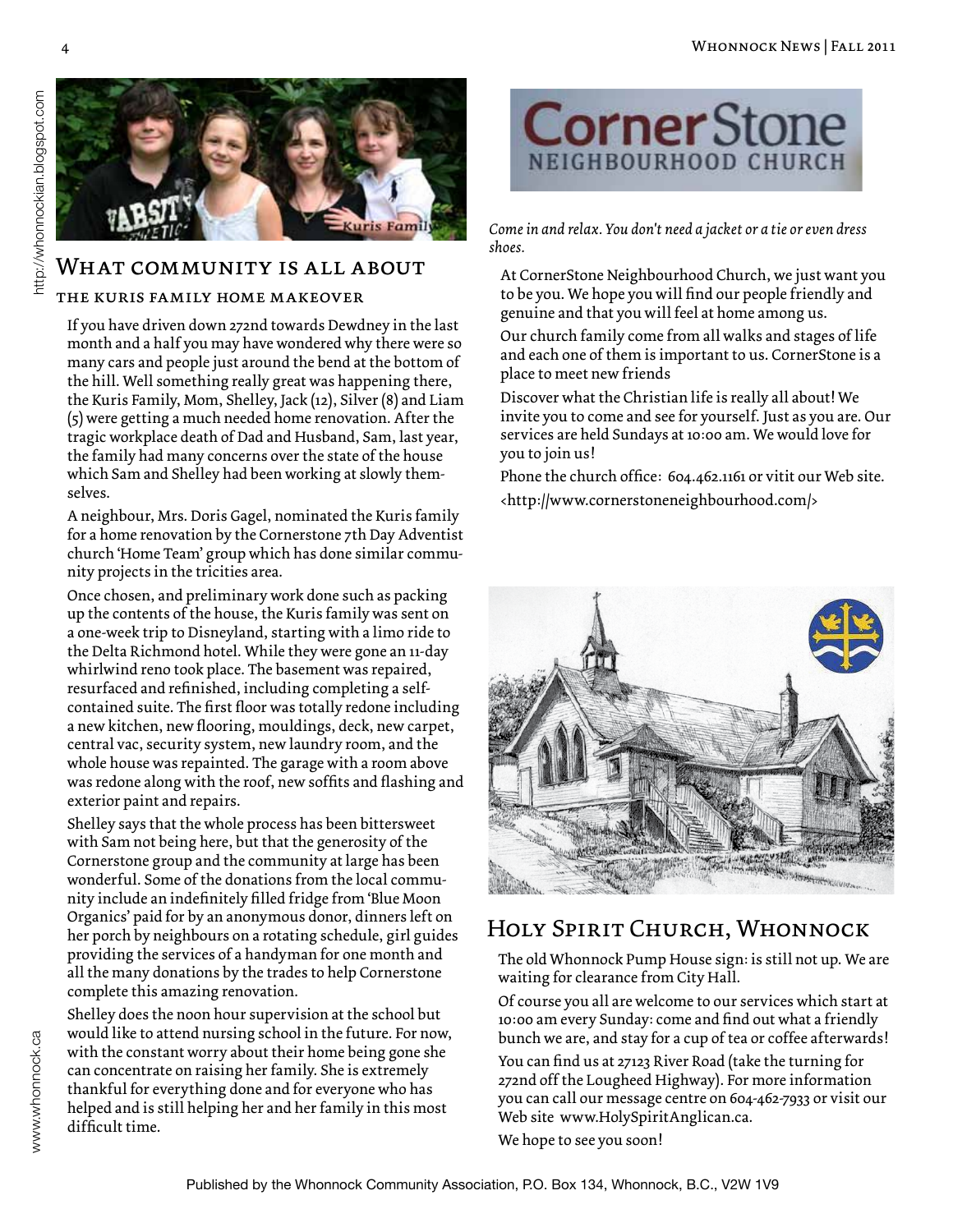

#### the kuris family home makeover

If you have driven down 272nd towards Dewdney in the last month and a half you may have wondered why there were so many cars and people just around the bend at the bottom of the hill. Well something really great was happening there, the Kuris Family, Mom, Shelley, Jack (12), Silver (8) and Liam (5) were getting a much needed home renovation. After the tragic workplace death of Dad and Husband, Sam, last year, the family had many concerns over the state of the house which Sam and Shelley had been working at slowly themselves.

A neighbour, Mrs. Doris Gagel, nominated the Kuris family for a home renovation by the Cornerstone 7th Day Adventist church 'Home Team' group which has done similar community projects in the tricities area.

**WARENT WATE COMMUNITY IS ALL ABOUT**<br>THE KURIS FAMILY HOME MAKEOVER THE KURIS FAMILY HOME MAKEOVER If you have driven down zpand towards Dewdney in the month and a ball you may have would comple in the most support in the Once chosen, and preliminary work done such as packing up the contents of the house, the Kuris family was sent on a one-week trip to Disneyland, starting with a limo ride to the Delta Richmond hotel. While they were gone an 11-day whirlwind reno took place. The basement was repaired, resurfaced and refinished, including completing a selfcontained suite. The first floor was totally redone including a new kitchen, new flooring, mouldings, deck, new carpet, central vac, security system, new laundry room, and the whole house was repainted. The garage with a room above was redone along with the roof, new soffits and flashing and exterior paint and repairs.

Shelley says that the whole process has been bittersweet with Sam not being here, but that the generosity of the Cornerstone group and the community at large has been wonderful. Some of the donations from the local community include an indefinitely filled fridge from 'Blue Moon Organics' paid for by an anonymous donor, dinners left on her porch by neighbours on a rotating schedule, girl guides providing the services of a handyman for one month and all the many donations by the trades to help Cornerstone complete this amazing renovation.

Shelley does the noon hour supervision at the school but would like to attend nursing school in the future. For now, with the constant worry about their home being gone she can concentrate on raising her family. She is extremely thankful for everything done and for everyone who has helped and is still helping her and her family in this most difficult time.

# **CornerStor** NEIGHBOURHOOD CHURCH

*Come in and relax. You don't need a jacket or a tie or even dress shoes.* 

At CornerStone Neighbourhood Church, we just want you to be you. We hope you will find our people friendly and genuine and that you will feel at home among us.

Our church family come from all walks and stages of life and each one of them is important to us. CornerStone is a place to meet new friends

Discover what the Christian life is really all about! We invite you to come and see for yourself. Just as you are. Our services are held Sundays at 10:00 am. We would love for you to join us!

Phone the church office: 604.462.1161 or vitit our Web site. <http://www.cornerstoneneighbourhood.com/>



# HOLY SPIRIT CHURCH, WHONNOCK

The old Whonnock Pump House sign: is still not up. We are waiting for clearance from City Hall.

Of course you all are welcome to our services which start at 10:00 am every Sunday: come and find out what a friendly bunch we are, and stay for a cup of tea or coffee afterwards!

You can find us at 27123 River Road (take the turning for 272nd off the Lougheed Highway). For more information you can call our message centre on 604-462-7933 or visit our Web site www.HolySpiritAnglican.ca.

We hope to see you soon!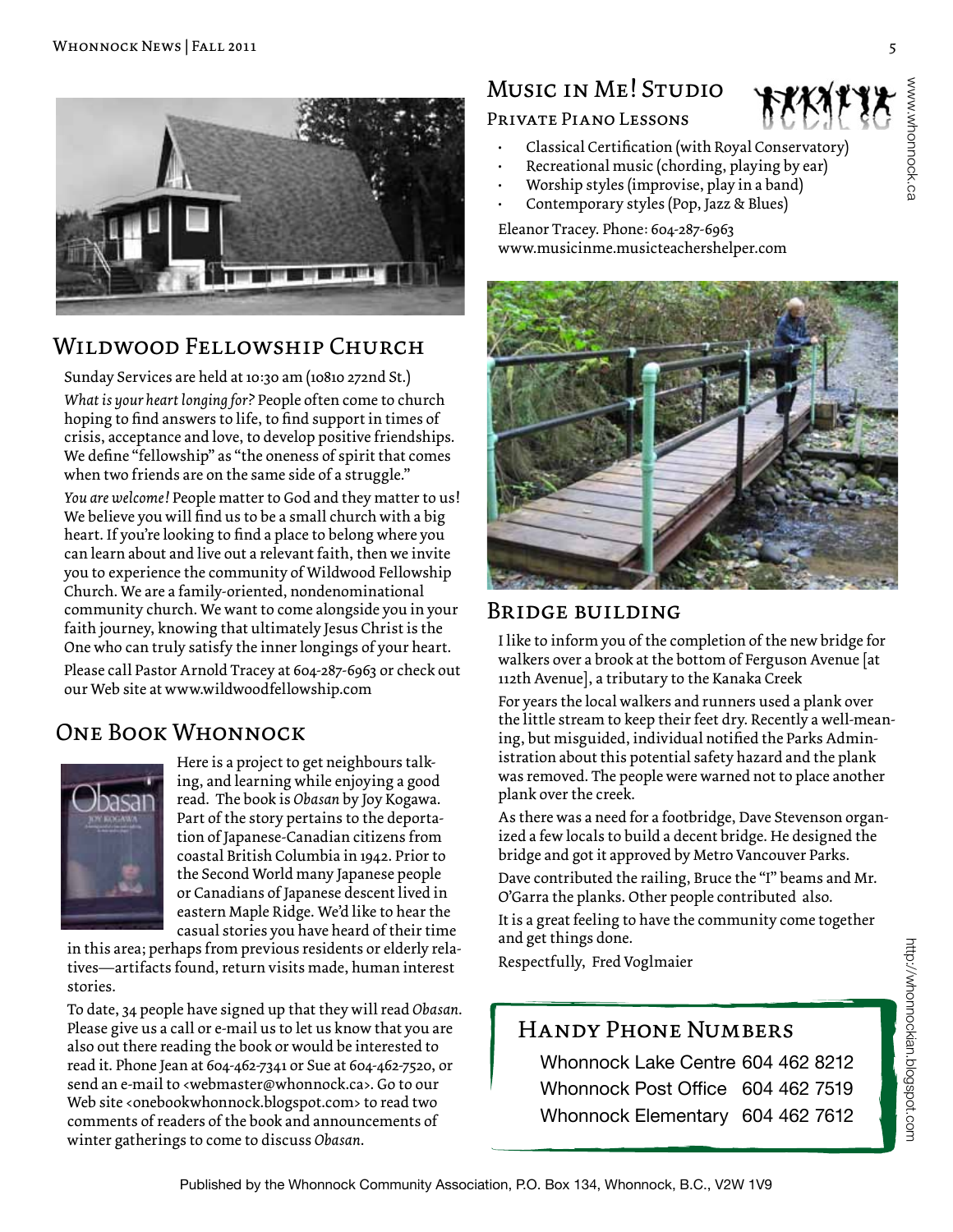

#### Wildwood Fellowship Church

Sunday Services are held at 10:30 am (10810 272nd St.) *What is your heart longing for?* People often come to church hoping to find answers to life, to find support in times of crisis, acceptance and love, to develop positive friendships. We define "fellowship" as "the oneness of spirit that comes when two friends are on the same side of a struggle."

*You are welcome!* People matter to God and they matter to us! We believe you will find us to be a small church with a big heart. If you're looking to find a place to belong where you can learn about and live out a relevant faith, then we invite you to experience the community of Wildwood Fellowship Church. We are a family-oriented, nondenominational community church. We want to come alongside you in your faith journey, knowing that ultimately Jesus Christ is the One who can truly satisfy the inner longings of your heart.

Please call Pastor Arnold Tracey at 604-287-6963 or check out our Web site at www.wildwoodfellowship.com

#### One Book Whonnock



Here is a project to get neighbours talking, and learning while enjoying a good read. The book is *Obasan* by Joy Kogawa. Part of the story pertains to the deportation of Japanese-Canadian citizens from coastal British Columbia in 1942. Prior to the Second World many Japanese people or Canadians of Japanese descent lived in eastern Maple Ridge. We'd like to hear the casual stories you have heard of their time

in this area; perhaps from previous residents or elderly relatives—artifacts found, return visits made, human interest stories.

To date, 34 people have signed up that they will read *Obasan*. Please give us a call or e-mail us to let us know that you are also out there reading the book or would be interested to read it. Phone Jean at 604-462-7341 or Sue at 604-462-7520, or send an e-mail to <webmaster@whonnock.ca>. Go to our Web site <onebookwhonnock.blogspot.com> to read two comments of readers of the book and announcements of winter gatherings to come to discuss *Obasan*.

# Music in Me! Studio



#### Private Piano Lessons

- Classical Certification (with Royal Conservatory)
- Recreational music (chording, playing by ear)
- Worship styles (improvise, play in a band)
- Contemporary styles (Pop, Jazz & Blues) Eleanor Tracey. Phone: 604-287-6963

www.musicinme.musicteachershelper.com



#### Bridge building

I like to inform you of the completion of the new bridge for walkers over a brook at the bottom of Ferguson Avenue [at 112th Avenue], a tributary to the Kanaka Creek

For years the local walkers and runners used a plank over the little stream to keep their feet dry. Recently a well-meaning, but misguided, individual notified the Parks Administration about this potential safety hazard and the plank was removed. The people were warned not to place another plank over the creek.

As there was a need for a footbridge, Dave Stevenson organized a few locals to build a decent bridge. He designed the bridge and got it approved by Metro Vancouver Parks.

Dave contributed the railing, Bruce the "I" beams and Mr. O'Garra the planks. Other people contributed also.

It is a great feeling to have the community come together and get things done.

Respectfully, Fred Voglmaier

### Handy Phone Numbers

Whonnock Lake Centre 604 462 8212 Whonnock Post Office 604 462 7519 Whonnock Elementary 604 462 7612

www.whonnock.ca

www.whonnock.ca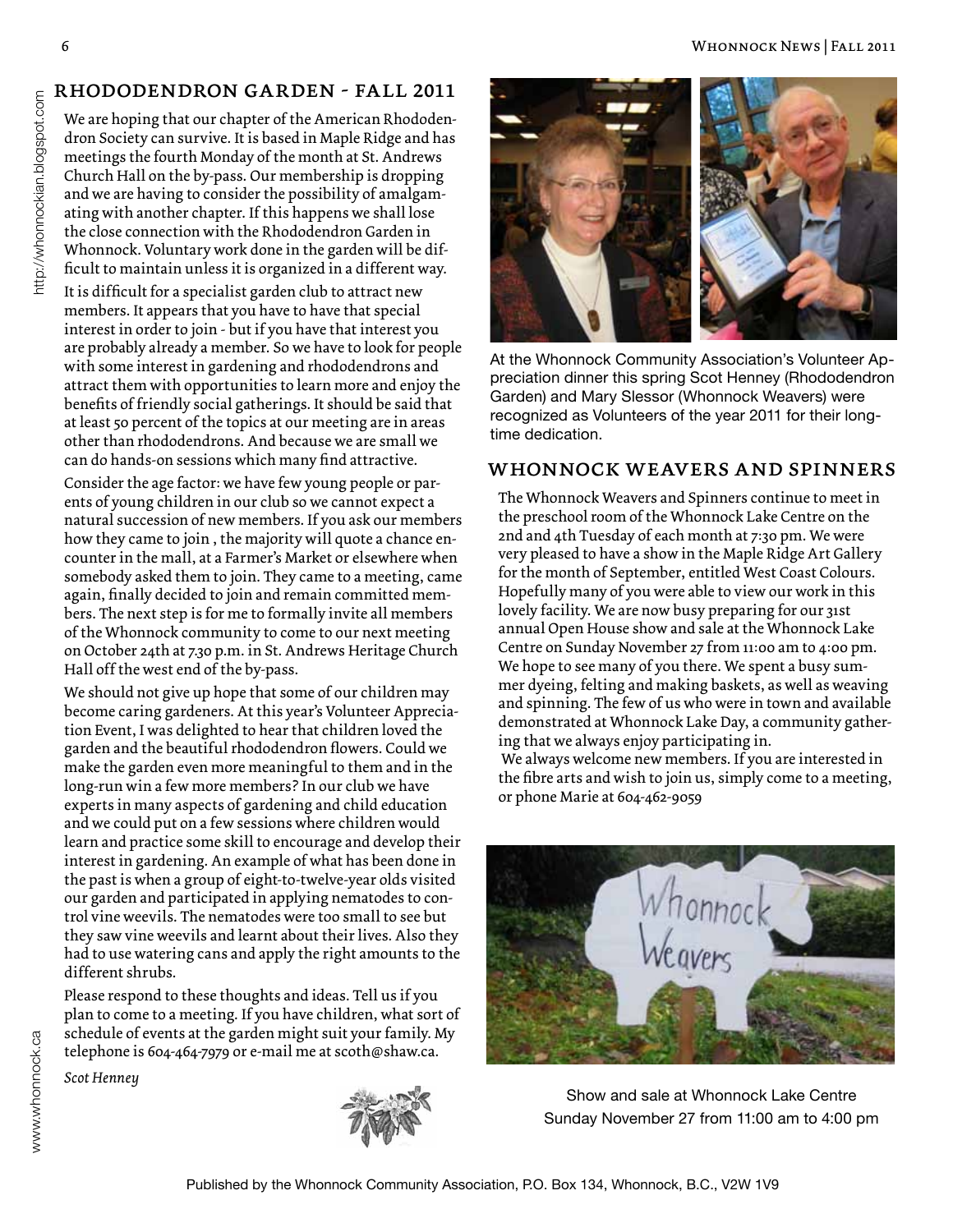We are hoping that our chapter of the American Rhododendron Society can survive. It is based in Maple Ridge and has meetings the fourth Monday of the month at St. Andrews Church Hall on the by-pass. Our membership is dropping and we are having to consider the possibility of amalgamating with another chapter. If this happens we shall lose the close connection with the Rhododendron Garden in Whonnock. Voluntary work done in the garden will be difficult to maintain unless it is organized in a different way.

It is difficult for a specialist garden club to attract new members. It appears that you have to have that special interest in order to join - but if you have that interest you are probably already a member. So we have to look for people with some interest in gardening and rhododendrons and attract them with opportunities to learn more and enjoy the benefits of friendly social gatherings. It should be said that at least 50 percent of the topics at our meeting are in areas other than rhododendrons. And because we are small we can do hands-on sessions which many find attractive.

Consider the age factor: we have few young people or parents of young children in our club so we cannot expect a natural succession of new members. If you ask our members how they came to join , the majority will quote a chance encounter in the mall, at a Farmer's Market or elsewhere when somebody asked them to join. They came to a meeting, came again, finally decided to join and remain committed members. The next step is for me to formally invite all members of the Whonnock community to come to our next meeting on October 24th at 7.30 p.m. in St. Andrews Heritage Church Hall off the west end of the by-pass.

EXERIDDODENDRON GARDEN FRAIL 2011<br>
We are hoping that our chapter of the American Rhododer<br>
was hoping that our chapter of the American Rhododer<br>
There are hoping that our chapter with the based in Maple Ridge and has<br>
Th We should not give up hope that some of our children may become caring gardeners. At this year's Volunteer Appreciation Event, I was delighted to hear that children loved the garden and the beautiful rhododendron flowers. Could we make the garden even more meaningful to them and in the long-run win a few more members? In our club we have experts in many aspects of gardening and child education and we could put on a few sessions where children would learn and practice some skill to encourage and develop their interest in gardening. An example of what has been done in the past is when a group of eight-to-twelve-year olds visited our garden and participated in applying nematodes to control vine weevils. The nematodes were too small to see but they saw vine weevils and learnt about their lives. Also they had to use watering cans and apply the right amounts to the different shrubs.

Please respond to these thoughts and ideas. Tell us if you plan to come to a meeting. If you have children, what sort of schedule of events at the garden might suit your family. My telephone is 604-464-7979 or e-mail me at scoth@shaw.ca.

*Scot Henney*





At the Whonnock Community Association's Volunteer Appreciation dinner this spring Scot Henney (Rhododendron Garden) and Mary Slessor (Whonnock Weavers) were recognized as Volunteers of the year 2011 for their longtime dedication.

#### whonnock weavers and spinners

The Whonnock Weavers and Spinners continue to meet in the preschool room of the Whonnock Lake Centre on the 2nd and 4th Tuesday of each month at 7:30 pm. We were very pleased to have a show in the Maple Ridge Art Gallery for the month of September, entitled West Coast Colours. Hopefully many of you were able to view our work in this lovely facility. We are now busy preparing for our 31st annual Open House show and sale at the Whonnock Lake Centre on Sunday November 27 from 11:00 am to 4:00 pm. We hope to see many of you there. We spent a busy summer dyeing, felting and making baskets, as well as weaving and spinning. The few of us who were in town and available demonstrated at Whonnock Lake Day, a community gathering that we always enjoy participating in. We always welcome new members. If you are interested in

the fibre arts and wish to join us, simply come to a meeting, or phone Marie at 604-462-9059



Show and sale at Whonnock Lake Centre Sunday November 27 from 11:00 am to 4:00 pm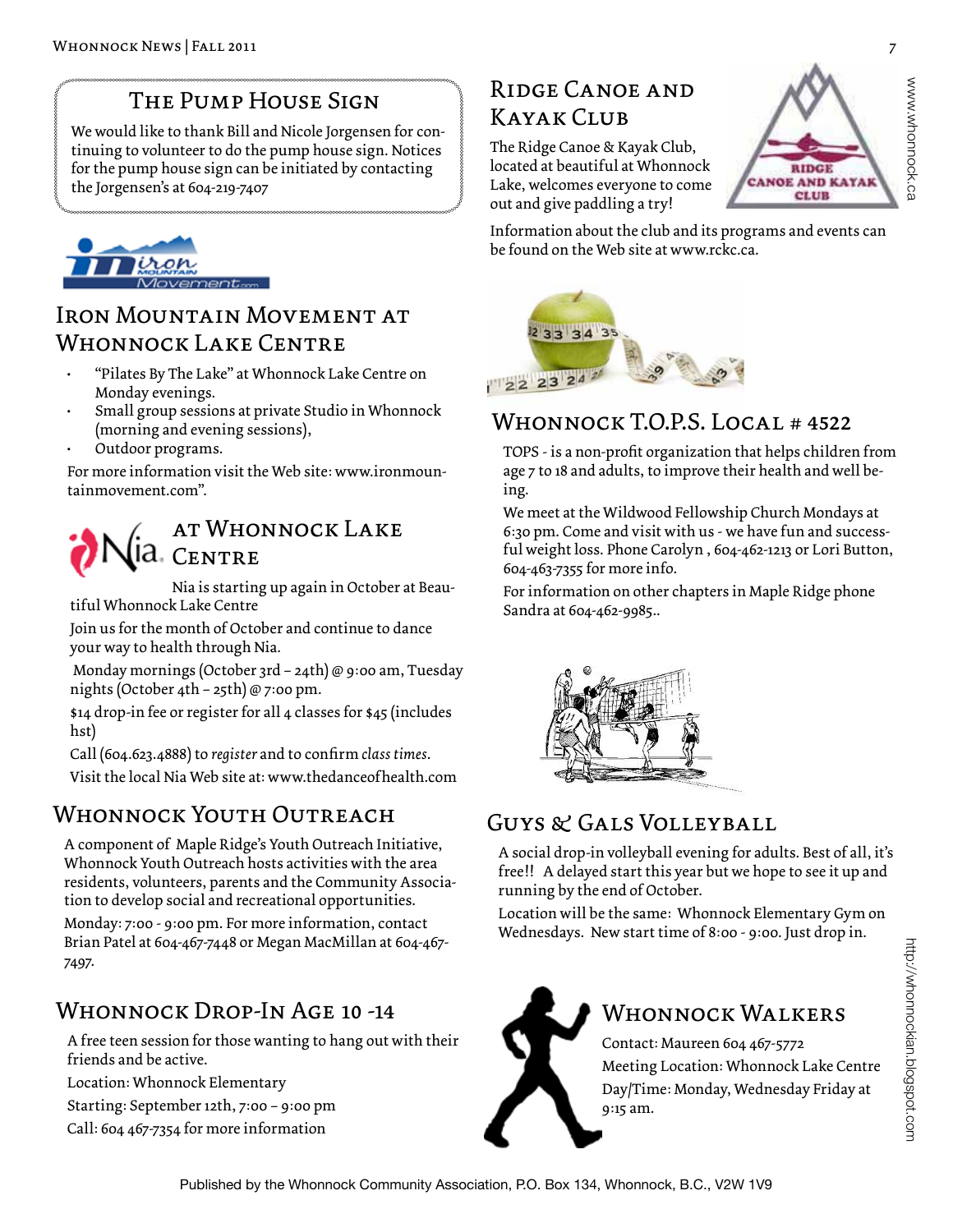# The Pump House Sign

We would like to thank Bill and Nicole Jorgensen for continuing to volunteer to do the pump house sign. Notices for the pump house sign can be initiated by contacting the Jorgensen's at 604-219-7407



# IRON MOUNTAIN MOVEMENT AT WHONNOCK LAKE CENTRE

- "Pilates By The Lake" at Whonnock Lake Centre on Monday evenings.
- Small group sessions at private Studio in Whonnock (morning and evening sessions),
- Outdoor programs.

For more information visit the Web site: www.ironmountainmovement.com".

# at Whonnock Lake d. Centre

Nia is starting up again in October at Beautiful Whonnock Lake Centre

Join us for the month of October and continue to dance your way to health through Nia.

 Monday mornings (October 3rd – 24th) @ 9:00 am, Tuesday nights (October 4th – 25th) @ 7:00 pm.

\$14 drop-in fee or register for all 4 classes for \$45 (includes hst)

Call (604.623.4888) to *register* and to confirm *class times*.

Visit the local Nia Web site at: www.thedanceofhealth.com

# Whonnock Youth Outreach

A component of Maple Ridge's Youth Outreach Initiative, Whonnock Youth Outreach hosts activities with the area residents, volunteers, parents and the Community Association to develop social and recreational opportunities.

Monday: 7:00 - 9:00 pm. For more information, contact Brian Patel at 604-467-7448 or Megan MacMillan at 604-467- 7497.

# Whonnock Drop-In Age 10 -14

A free teen session for those wanting to hang out with their friends and be active.

Location: Whonnock Elementary

Starting: September 12th, 7:00 – 9:00 pm

Call: 604 467-7354 for more information

# Ridge Canoe and Kayak Club

The Ridge Canoe & Kayak Club, located at beautiful at Whonnock Lake, welcomes everyone to come out and give paddling a try!



Information about the club and its programs and events can be found on the Web site at www.rckc.ca.



### WHONNOCK  $T. Q.P.S.$  Local  $# 4522$

TOPS - is a non-profit organization that helps children from age 7 to 18 and adults, to improve their health and well being.

We meet at the Wildwood Fellowship Church Mondays at 6:30 pm. Come and visit with us - we have fun and successful weight loss. Phone Carolyn , 604-462-1213 or Lori Button, 604-463-7355 for more info.

For information on other chapters in Maple Ridge phone Sandra at 604-462-9985..



# Guys & Gals Volleyball

A social drop-in volleyball evening for adults. Best of all, it's free!! A delayed start this year but we hope to see it up and running by the end of October.

Location will be the same: Whonnock Elementary Gym on Wednesdays. New start time of 8:00 - 9:00. Just drop in.



# WHONNOCK WALKERS

Contact: Maureen 604 467-5772 Meeting Location: Whonnock Lake Centre Day/Time: Monday, Wednesday Friday at 9:15 am.